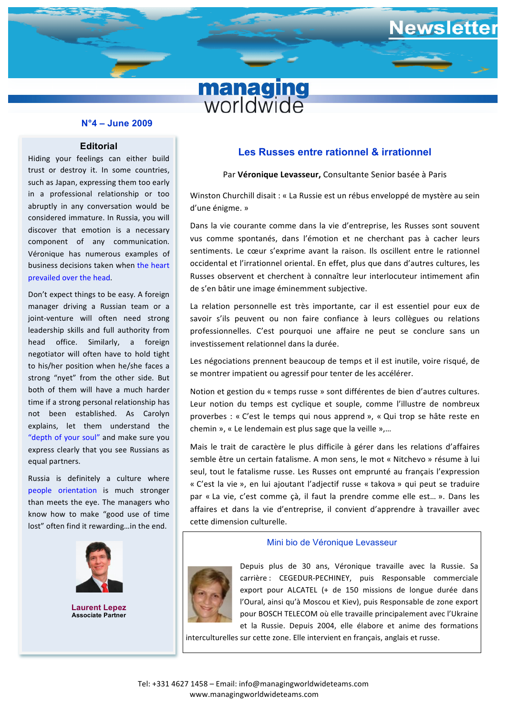

# **N°4 – June 2009**

## **Editorial**

**business decisions taken when the heart** Hiding your feelings can either build trust or destroy it. In some countries, such as Japan, expressing them too early in a professional relationship or too abruptly in any conversation would be considered immature. In Russia, you will discover that emotion is a necessary component of any communication. Véronique has numerous examples of prevailed over the head.

Don't expect things to be easy. A foreign manager driving a Russian team or a joint-venture will often need strong leadership skills and full authority from head office. Similarly, a foreign negotiator will often have to hold tight to his/her position when he/she faces a strong "nyet" from the other side. But both of them will have a much harder time if a strong personal relationship has not been established. As Carolyn explains, let them understand the "depth of your soul" and make sure you express clearly that you see Russians as equal partners.

Russia is definitely a culture where people orientation is much stronger than meets the eye. The managers who know how to make "good use of time lost" often find it rewarding...in the end.



**Laurent Lepez Associate Partner**

## **Les Russes entre rationnel & irrationnel**

ewsletter

### Par Véronique Levasseur, Consultante Senior basée à Paris

**be** d'une énigme. » Winston Churchill disait : « La Russie est un rébus enveloppé de mystère au sein

Dans la vie courante comme dans la vie d'entreprise, les Russes sont souvent vus comme spontanés, dans l'émotion et ne cherchant pas à cacher leurs sentiments. Le cœur s'exprime avant la raison. Ils oscillent entre le rationnel occidental et l'irrationnel oriental. En effet, plus que dans d'autres cultures, les Russes observent et cherchent à connaître leur interlocuteur intimement afin de s'en bâtir une image éminemment subjective.

La relation personnelle est très importante, car il est essentiel pour eux de savoir s'ils peuvent ou non faire confiance à leurs collègues ou relations professionnelles. C'est pourquoi une affaire ne peut se conclure sans un investissement relationnel dans la durée.

Les négociations prennent beaucoup de temps et il est inutile, voire risqué, de se montrer impatient ou agressif pour tenter de les accélérer.

Notion et gestion du « temps russe » sont différentes de bien d'autres cultures. Leur notion du temps est cyclique et souple, comme l'illustre de nombreux proverbes : « C'est le temps qui nous apprend », « Qui trop se hâte reste en chemin », « Le lendemain est plus sage que la veille »,...

Mais le trait de caractère le plus difficile à gérer dans les relations d'affaires semble être un certain fatalisme. A mon sens, le mot « Nitchevo » résume à lui seul, tout le fatalisme russe. Les Russes ont emprunté au français l'expression « C'est la vie », en lui ajoutant l'adjectif russe « takova » qui peut se traduire par « La vie, c'est comme çà, il faut la prendre comme elle est... ». Dans les affaires et dans la vie d'entreprise, il convient d'apprendre à travailler avec cette dimension culturelle.

#### Mini bio de Véronique Levasseur



Depuis plus de 30 ans, Véronique travaille avec la Russie. Sa carrière : CEGEDUR-PECHINEY, puis Responsable commerciale export pour ALCATEL (+ de 150 missions de longue durée dans l'Oural, ainsi qu'à Moscou et Kiev), puis Responsable de zone export pour BOSCH TELECOM où elle travaille principalement avec l'Ukraine et la Russie. Depuis 2004, elle élabore et anime des formations

interculturelles sur cette zone. Elle intervient en français, anglais et russe.